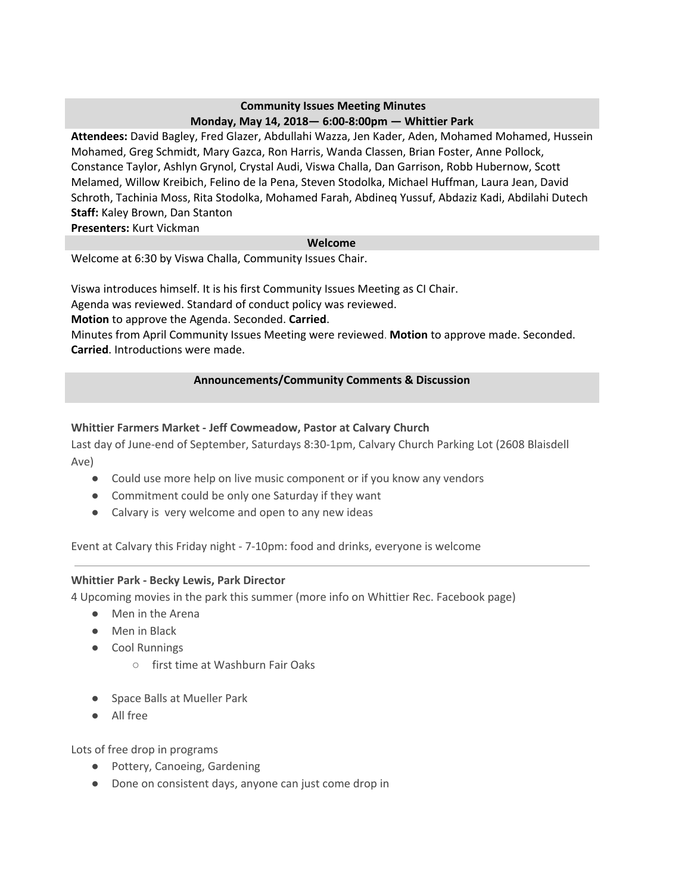### **Community Issues Meeting Minutes Monday, May 14, 2018— 6:00-8:00pm — Whittier Park**

**Attendees:** David Bagley, Fred Glazer, Abdullahi Wazza, Jen Kader, Aden, Mohamed Mohamed, Hussein Mohamed, Greg Schmidt, Mary Gazca, Ron Harris, Wanda Classen, Brian Foster, Anne Pollock, Constance Taylor, Ashlyn Grynol, Crystal Audi, Viswa Challa, Dan Garrison, Robb Hubernow, Scott Melamed, Willow Kreibich, Felino de la Pena, Steven Stodolka, Michael Huffman, Laura Jean, David Schroth, Tachinia Moss, Rita Stodolka, Mohamed Farah, Abdineq Yussuf, Abdaziz Kadi, Abdilahi Dutech **Staff:** Kaley Brown, Dan Stanton

**Presenters:** Kurt Vickman

### **Welcome**

Welcome at 6:30 by Viswa Challa, Community Issues Chair.

Viswa introduces himself. It is his first Community Issues Meeting as CI Chair.

Agenda was reviewed. Standard of conduct policy was reviewed.

**Motion** to approve the Agenda. Seconded. **Carried**.

Minutes from April Community Issues Meeting were reviewed. **Motion** to approve made. Seconded. **Carried**. Introductions were made.

### **Announcements/Community Comments & Discussion**

# **Whittier Farmers Market - Jeff Cowmeadow, Pastor at Calvary Church**

Last day of June-end of September, Saturdays 8:30-1pm, Calvary Church Parking Lot (2608 Blaisdell Ave)

- Could use more help on live music component or if you know any vendors
- Commitment could be only one Saturday if they want
- Calvary is very welcome and open to any new ideas

Event at Calvary this Friday night - 7-10pm: food and drinks, everyone is welcome

### **Whittier Park - Becky Lewis, Park Director**

4 Upcoming movies in the park this summer (more info on Whittier Rec. Facebook page)

- Men in the Arena
- Men in Black
- Cool Runnings
	- first time at Washburn Fair Oaks
- Space Balls at Mueller Park
- All free

Lots of free drop in programs

- Pottery, Canoeing, Gardening
- Done on consistent days, anyone can just come drop in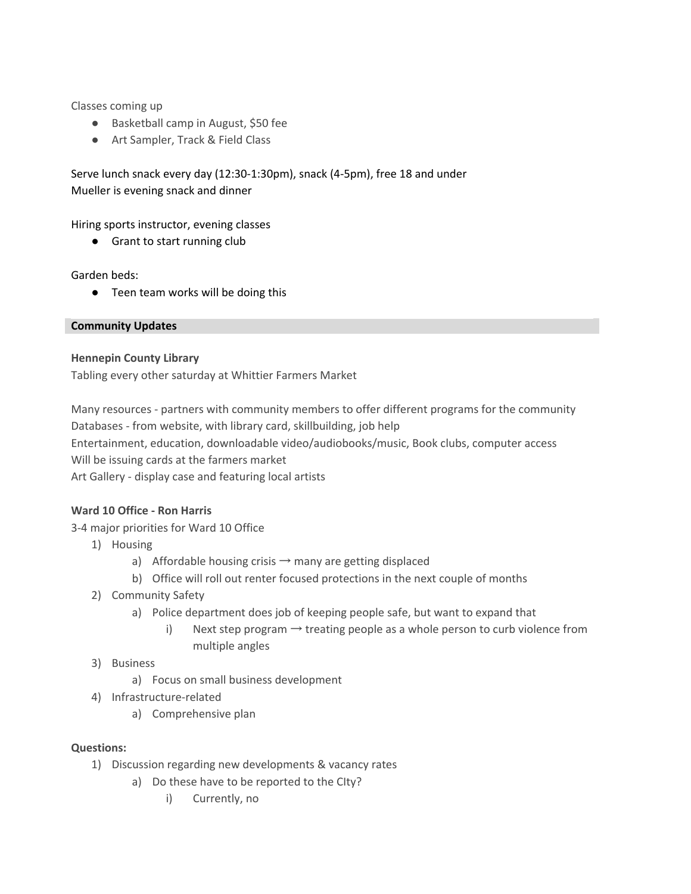Classes coming up

- Basketball camp in August, \$50 fee
- Art Sampler, Track & Field Class

Serve lunch snack every day (12:30-1:30pm), snack (4-5pm), free 18 and under Mueller is evening snack and dinner

Hiring sports instructor, evening classes

● Grant to start running club

Garden beds:

● Teen team works will be doing this

**Community Updates**

### **Hennepin County Library**

Tabling every other saturday at Whittier Farmers Market

Many resources - partners with community members to offer different programs for the community Databases - from website, with library card, skillbuilding, job help Entertainment, education, downloadable video/audiobooks/music, Book clubs, computer access Will be issuing cards at the farmers market

Art Gallery - display case and featuring local artists

### **Ward 10 Office - Ron Harris**

3-4 major priorities for Ward 10 Office

- 1) Housing
	- a) Affordable housing crisis  $\rightarrow$  many are getting displaced
	- b) Office will roll out renter focused protections in the next couple of months
- 2) Community Safety
	- a) Police department does job of keeping people safe, but want to expand that
		- i) Next step program  $\rightarrow$  treating people as a whole person to curb violence from multiple angles

# 3) Business

- a) Focus on small business development
- 4) Infrastructure-related
	- a) Comprehensive plan

### **Questions:**

- 1) Discussion regarding new developments & vacancy rates
	- a) Do these have to be reported to the CIty?
		- i) Currently, no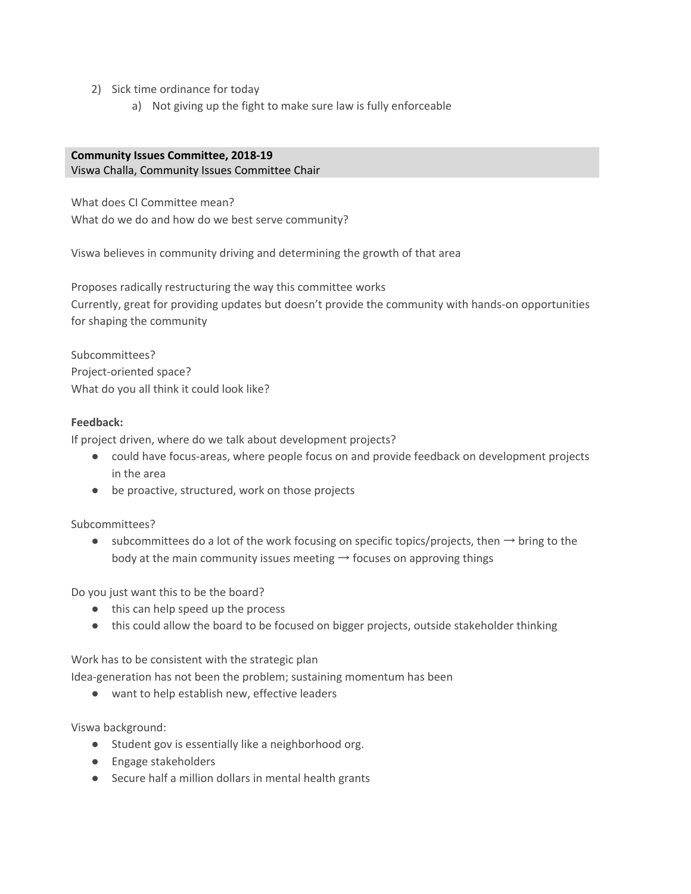- 2) Sick time ordinance for today
	- a) Not giving up the fight to make sure law is fully enforceable

# **Community Issues Committee, 2018-19**

### Viswa Challa, Community Issues Committee Chair

What does CI Committee mean? What do we do and how do we best serve community?

Viswa believes in community driving and determining the growth of that area

Proposes radically restructuring the way this committee works Currently, great for providing updates but doesn't provide the community with hands-on opportunities for shaping the community

Subcommittees? Project-oriented space? What do you all think it could look like?

# **Feedback:**

If project driven, where do we talk about development projects?

- could have focus-areas, where people focus on and provide feedback on development projects in the area
- be proactive, structured, work on those projects

Subcommittees?

 $\bullet$  subcommittees do a lot of the work focusing on specific topics/projects, then  $\rightarrow$  bring to the body at the main community issues meeting  $\rightarrow$  focuses on approving things

Do you just want this to be the board?

- this can help speed up the process
- this could allow the board to be focused on bigger projects, outside stakeholder thinking

Work has to be consistent with the strategic plan

Idea-generation has not been the problem; sustaining momentum has been

● want to help establish new, effective leaders

Viswa background:

- Student gov is essentially like a neighborhood org.
- Engage stakeholders
- Secure half a million dollars in mental health grants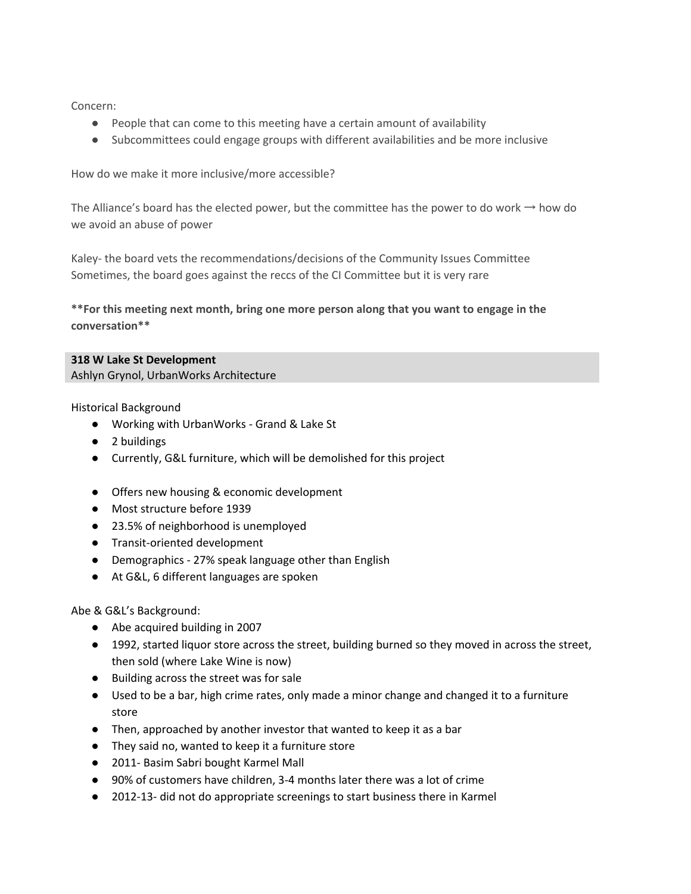Concern:

- People that can come to this meeting have a certain amount of availability
- Subcommittees could engage groups with different availabilities and be more inclusive

How do we make it more inclusive/more accessible?

The Alliance's board has the elected power, but the committee has the power to do work  $\rightarrow$  how do we avoid an abuse of power

Kaley- the board vets the recommendations/decisions of the Community Issues Committee Sometimes, the board goes against the reccs of the CI Committee but it is very rare

**\*\*For this meeting next month, bring one more person along that you want to engage in the conversation\*\***

### **318 W Lake St Development**

Ashlyn Grynol, UrbanWorks Architecture

Historical Background

- Working with UrbanWorks Grand & Lake St
- 2 buildings
- Currently, G&L furniture, which will be demolished for this project
- Offers new housing & economic development
- Most structure before 1939
- 23.5% of neighborhood is unemployed
- Transit-oriented development
- Demographics 27% speak language other than English
- At G&L, 6 different languages are spoken

Abe & G&L's Background:

- Abe acquired building in 2007
- 1992, started liquor store across the street, building burned so they moved in across the street, then sold (where Lake Wine is now)
- Building across the street was for sale
- Used to be a bar, high crime rates, only made a minor change and changed it to a furniture store
- Then, approached by another investor that wanted to keep it as a bar
- They said no, wanted to keep it a furniture store
- 2011- Basim Sabri bought Karmel Mall
- 90% of customers have children, 3-4 months later there was a lot of crime
- 2012-13- did not do appropriate screenings to start business there in Karmel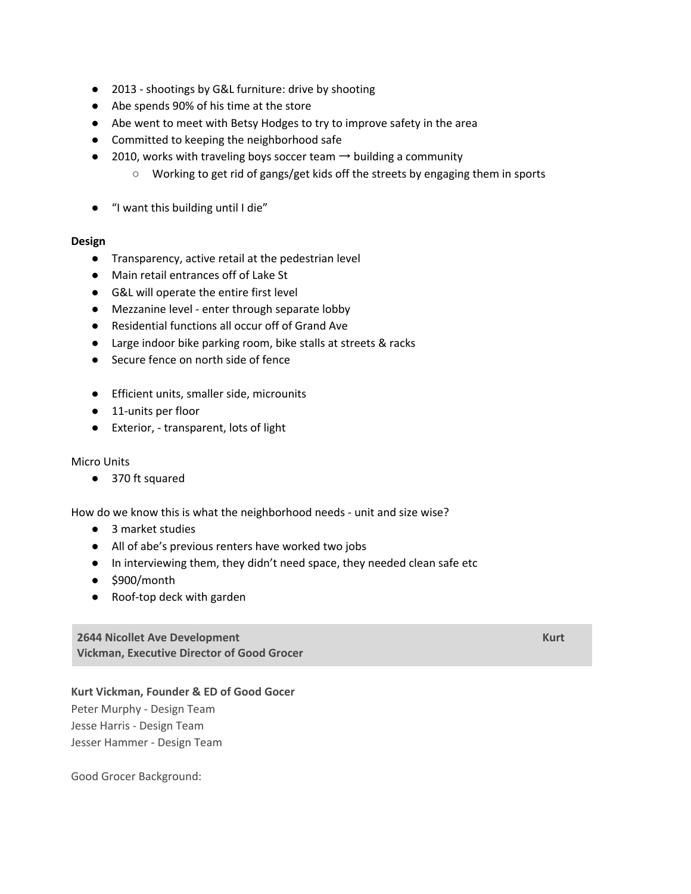- 2013 shootings by G&L furniture: drive by shooting
- Abe spends 90% of his time at the store
- Abe went to meet with Betsy Hodges to try to improve safety in the area
- Committed to keeping the neighborhood safe
- $\bullet$  2010, works with traveling boys soccer team  $\rightarrow$  building a community
	- Working to get rid of gangs/get kids off the streets by engaging them in sports
- "I want this building until I die"

#### **Design**

- Transparency, active retail at the pedestrian level
- Main retail entrances off of Lake St
- G&L will operate the entire first level
- Mezzanine level enter through separate lobby
- Residential functions all occur off of Grand Ave
- Large indoor bike parking room, bike stalls at streets & racks
- Secure fence on north side of fence
- Efficient units, smaller side, microunits
- 11-units per floor
- Exterior, transparent, lots of light

### Micro Units

● 370 ft squared

How do we know this is what the neighborhood needs - unit and size wise?

- 3 market studies
- All of abe's previous renters have worked two jobs
- In interviewing them, they didn't need space, they needed clean safe etc
- $\bullet$  \$900/month
- Roof-top deck with garden

**2644 Nicollet Ave Development Kurt Vickman, Executive Director of Good Grocer**

### **Kurt Vickman, Founder & ED of Good Gocer**

Peter Murphy - Design Team Jesse Harris - Design Team Jesser Hammer - Design Team

Good Grocer Background: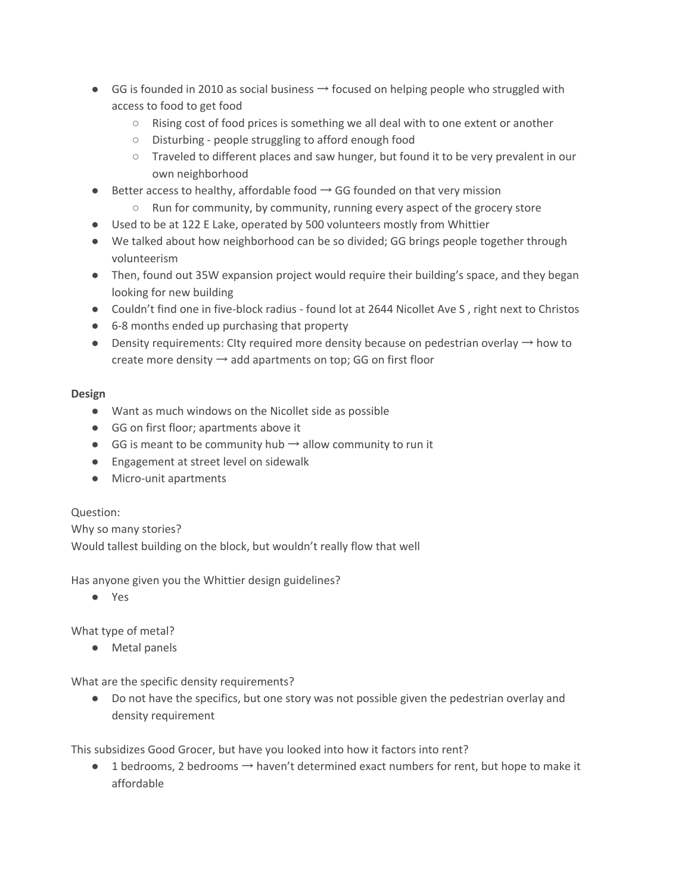- GG is founded in 2010 as social business  $\rightarrow$  focused on helping people who struggled with access to food to get food
	- Rising cost of food prices is something we all deal with to one extent or another
	- Disturbing people struggling to afford enough food
	- Traveled to different places and saw hunger, but found it to be very prevalent in our own neighborhood
- $\bullet$  Better access to healthy, affordable food  $\rightarrow$  GG founded on that very mission
	- Run for community, by community, running every aspect of the grocery store
- Used to be at 122 E Lake, operated by 500 volunteers mostly from Whittier
- We talked about how neighborhood can be so divided; GG brings people together through volunteerism
- Then, found out 35W expansion project would require their building's space, and they began looking for new building
- Couldn't find one in five-block radius found lot at 2644 Nicollet Ave S, right next to Christos
- 6-8 months ended up purchasing that property
- Density requirements: CIty required more density because on pedestrian overlay  $\rightarrow$  how to create more density  $\rightarrow$  add apartments on top; GG on first floor

### **Design**

- Want as much windows on the Nicollet side as possible
- GG on first floor; apartments above it
- GG is meant to be community hub  $\rightarrow$  allow community to run it
- Engagement at street level on sidewalk
- Micro-unit apartments

# Question:

Why so many stories? Would tallest building on the block, but wouldn't really flow that well

Has anyone given you the Whittier design guidelines?

● Yes

What type of metal?

● Metal panels

What are the specific density requirements?

● Do not have the specifics, but one story was not possible given the pedestrian overlay and density requirement

This subsidizes Good Grocer, but have you looked into how it factors into rent?

 $\bullet$  1 bedrooms, 2 bedrooms  $\rightarrow$  haven't determined exact numbers for rent, but hope to make it affordable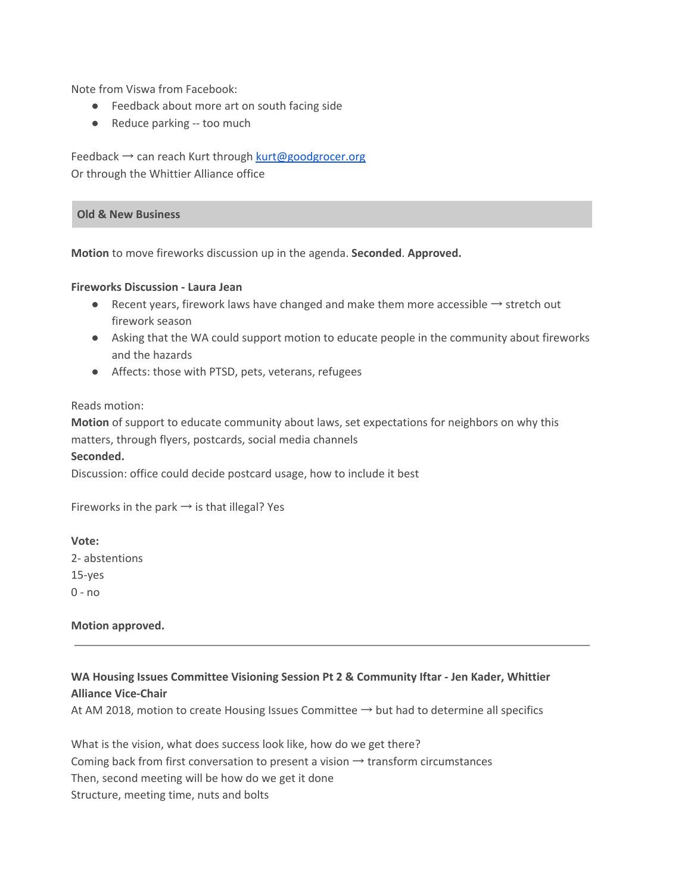Note from Viswa from Facebook:

- Feedback about more art on south facing side
- Reduce parking -- too much

Feedback → can reach Kurt through [kurt@goodgrocer.org](mailto:kurt@goodgrocer.org) Or through the Whittier Alliance office

#### **Old & New Business**

**Motion** to move fireworks discussion up in the agenda. **Seconded**. **Approved.**

#### **Fireworks Discussion - Laura Jean**

- Recent years, firework laws have changed and make them more accessible → stretch out firework season
- Asking that the WA could support motion to educate people in the community about fireworks and the hazards
- Affects: those with PTSD, pets, veterans, refugees

#### Reads motion:

**Motion** of support to educate community about laws, set expectations for neighbors on why this matters, through flyers, postcards, social media channels

#### **Seconded.**

Discussion: office could decide postcard usage, how to include it best

Fireworks in the park  $\rightarrow$  is that illegal? Yes

### **Vote:**

2- abstentions 15-yes 0 - no

**Motion approved.**

# **WA Housing Issues Committee Visioning Session Pt 2 & Community Iftar - Jen Kader, Whittier Alliance Vice-Chair**

At AM 2018, motion to create Housing Issues Committee  $\rightarrow$  but had to determine all specifics

What is the vision, what does success look like, how do we get there? Coming back from first conversation to present a vision  $\rightarrow$  transform circumstances Then, second meeting will be how do we get it done Structure, meeting time, nuts and bolts